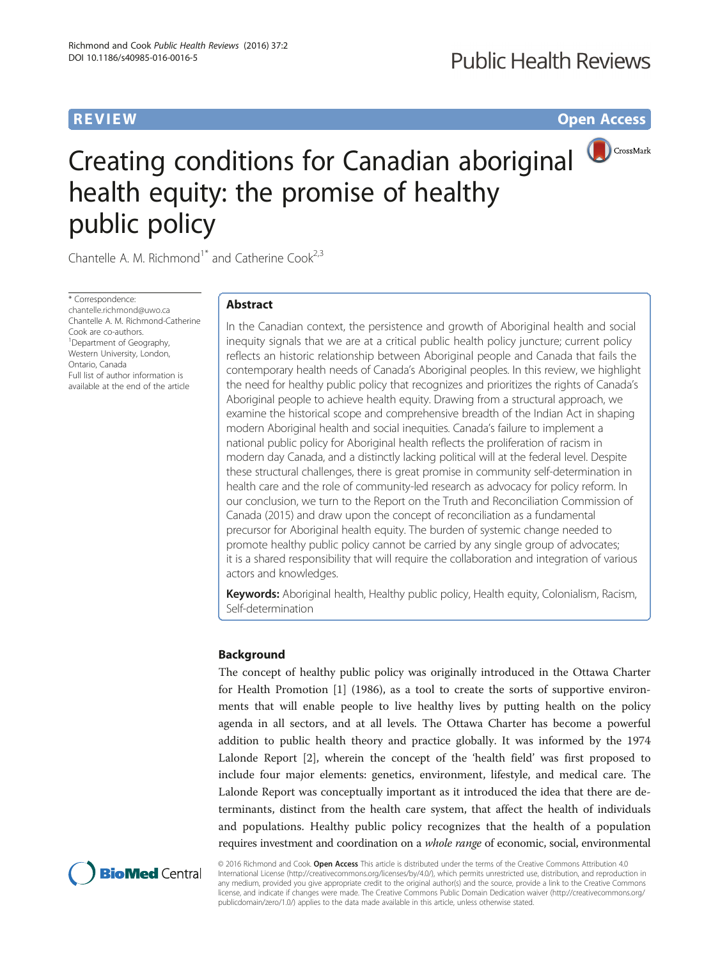# **REVIEW REVIEW** *REVIEW*



# Creating conditions for Canadian aboriginal health equity: the promise of healthy public policy

Chantelle A. M. Richmond<sup>1\*</sup> and Catherine Cook<sup>2,3</sup>

\* Correspondence: [chantelle.richmond@uwo.ca](mailto:chantelle.richmond@uwo.ca) Chantelle A. M. Richmond-Catherine Cook are co-authors. <sup>1</sup>Department of Geography, Western University, London, Ontario, Canada Full list of author information is available at the end of the article

# Abstract

In the Canadian context, the persistence and growth of Aboriginal health and social inequity signals that we are at a critical public health policy juncture; current policy reflects an historic relationship between Aboriginal people and Canada that fails the contemporary health needs of Canada's Aboriginal peoples. In this review, we highlight the need for healthy public policy that recognizes and prioritizes the rights of Canada's Aboriginal people to achieve health equity. Drawing from a structural approach, we examine the historical scope and comprehensive breadth of the Indian Act in shaping modern Aboriginal health and social inequities. Canada's failure to implement a national public policy for Aboriginal health reflects the proliferation of racism in modern day Canada, and a distinctly lacking political will at the federal level. Despite these structural challenges, there is great promise in community self-determination in health care and the role of community-led research as advocacy for policy reform. In our conclusion, we turn to the Report on the Truth and Reconciliation Commission of Canada (2015) and draw upon the concept of reconciliation as a fundamental precursor for Aboriginal health equity. The burden of systemic change needed to promote healthy public policy cannot be carried by any single group of advocates; it is a shared responsibility that will require the collaboration and integration of various actors and knowledges.

Keywords: Aboriginal health, Healthy public policy, Health equity, Colonialism, Racism, Self-determination

# Background

The concept of healthy public policy was originally introduced in the Ottawa Charter for Health Promotion [[1\]](#page-12-0) (1986), as a tool to create the sorts of supportive environments that will enable people to live healthy lives by putting health on the policy agenda in all sectors, and at all levels. The Ottawa Charter has become a powerful addition to public health theory and practice globally. It was informed by the 1974 Lalonde Report [[2\]](#page-12-0), wherein the concept of the 'health field' was first proposed to include four major elements: genetics, environment, lifestyle, and medical care. The Lalonde Report was conceptually important as it introduced the idea that there are determinants, distinct from the health care system, that affect the health of individuals and populations. Healthy public policy recognizes that the health of a population requires investment and coordination on a *whole range* of economic, social, environmental



© 2016 Richmond and Cook. Open Access This article is distributed under the terms of the Creative Commons Attribution 4.0 International License [\(http://creativecommons.org/licenses/by/4.0/](http://creativecommons.org/licenses/by/4.0/)), which permits unrestricted use, distribution, and reproduction in any medium, provided you give appropriate credit to the original author(s) and the source, provide a link to the Creative Commons license, and indicate if changes were made. The Creative Commons Public Domain Dedication waiver [\(http://creativecommons.org/](http://creativecommons.org/publicdomain/zero/1.0/) [publicdomain/zero/1.0/\)](http://creativecommons.org/publicdomain/zero/1.0/) applies to the data made available in this article, unless otherwise stated.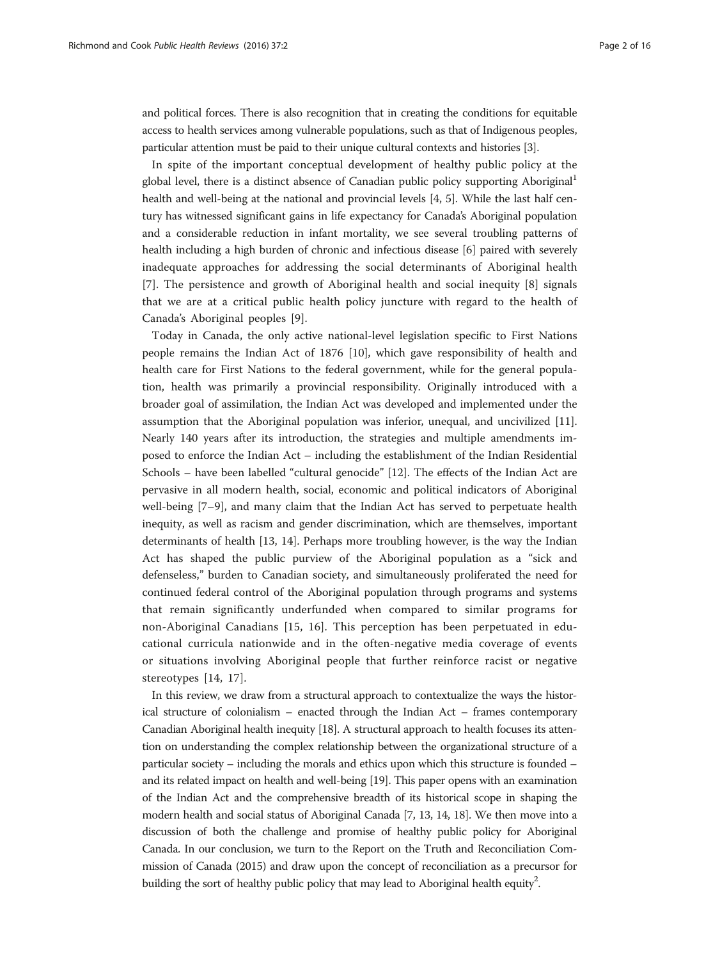and political forces. There is also recognition that in creating the conditions for equitable access to health services among vulnerable populations, such as that of Indigenous peoples, particular attention must be paid to their unique cultural contexts and histories [\[3\]](#page-12-0).

In spite of the important conceptual development of healthy public policy at the global level, there is a distinct absence of Canadian public policy supporting Aboriginal<sup>1</sup> health and well-being at the national and provincial levels [[4](#page-12-0), [5\]](#page-12-0). While the last half century has witnessed significant gains in life expectancy for Canada's Aboriginal population and a considerable reduction in infant mortality, we see several troubling patterns of health including a high burden of chronic and infectious disease [[6\]](#page-12-0) paired with severely inadequate approaches for addressing the social determinants of Aboriginal health [[7\]](#page-12-0). The persistence and growth of Aboriginal health and social inequity [\[8](#page-12-0)] signals that we are at a critical public health policy juncture with regard to the health of Canada's Aboriginal peoples [[9\]](#page-12-0).

Today in Canada, the only active national-level legislation specific to First Nations people remains the Indian Act of 1876 [[10](#page-12-0)], which gave responsibility of health and health care for First Nations to the federal government, while for the general population, health was primarily a provincial responsibility. Originally introduced with a broader goal of assimilation, the Indian Act was developed and implemented under the assumption that the Aboriginal population was inferior, unequal, and uncivilized [[11](#page-12-0)]. Nearly 140 years after its introduction, the strategies and multiple amendments imposed to enforce the Indian Act – including the establishment of the Indian Residential Schools – have been labelled "cultural genocide" [\[12\]](#page-12-0). The effects of the Indian Act are pervasive in all modern health, social, economic and political indicators of Aboriginal well-being [[7](#page-12-0)–[9](#page-12-0)], and many claim that the Indian Act has served to perpetuate health inequity, as well as racism and gender discrimination, which are themselves, important determinants of health [[13](#page-12-0), [14\]](#page-12-0). Perhaps more troubling however, is the way the Indian Act has shaped the public purview of the Aboriginal population as a "sick and defenseless," burden to Canadian society, and simultaneously proliferated the need for continued federal control of the Aboriginal population through programs and systems that remain significantly underfunded when compared to similar programs for non-Aboriginal Canadians [\[15](#page-12-0), [16](#page-12-0)]. This perception has been perpetuated in educational curricula nationwide and in the often-negative media coverage of events or situations involving Aboriginal people that further reinforce racist or negative stereotypes [[14](#page-12-0), [17](#page-12-0)].

In this review, we draw from a structural approach to contextualize the ways the historical structure of colonialism – enacted through the Indian Act – frames contemporary Canadian Aboriginal health inequity [\[18\]](#page-12-0). A structural approach to health focuses its attention on understanding the complex relationship between the organizational structure of a particular society – including the morals and ethics upon which this structure is founded – and its related impact on health and well-being [[19](#page-12-0)]. This paper opens with an examination of the Indian Act and the comprehensive breadth of its historical scope in shaping the modern health and social status of Aboriginal Canada [\[7, 13](#page-12-0), [14](#page-12-0), [18\]](#page-12-0). We then move into a discussion of both the challenge and promise of healthy public policy for Aboriginal Canada. In our conclusion, we turn to the Report on the Truth and Reconciliation Commission of Canada (2015) and draw upon the concept of reconciliation as a precursor for building the sort of healthy public policy that may lead to Aboriginal health equity<sup>2</sup>.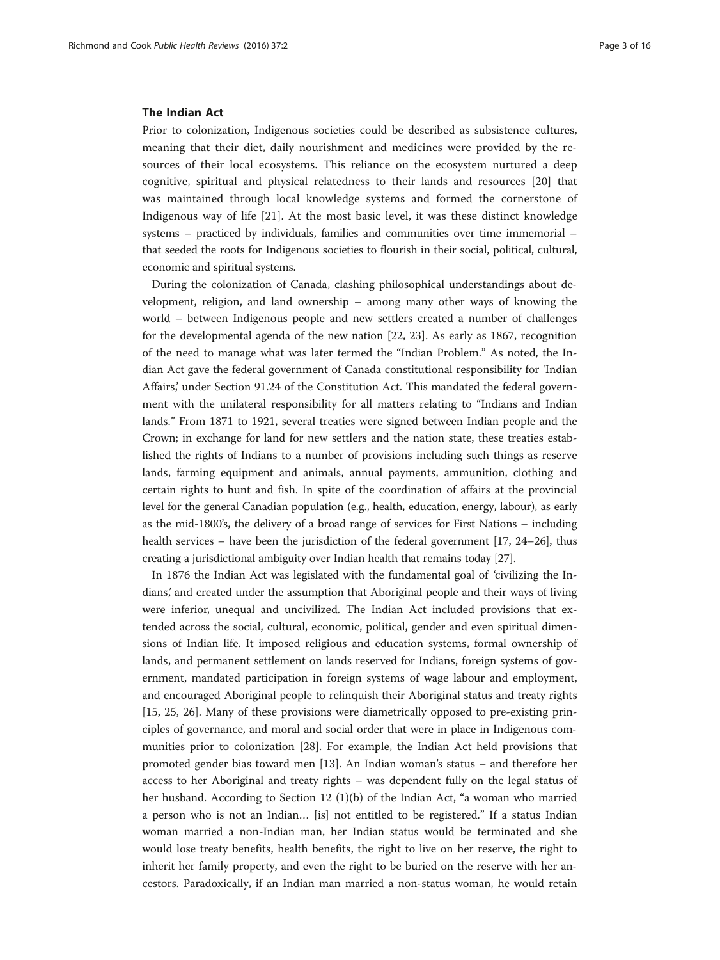#### The Indian Act

Prior to colonization, Indigenous societies could be described as subsistence cultures, meaning that their diet, daily nourishment and medicines were provided by the resources of their local ecosystems. This reliance on the ecosystem nurtured a deep cognitive, spiritual and physical relatedness to their lands and resources [\[20](#page-12-0)] that was maintained through local knowledge systems and formed the cornerstone of Indigenous way of life [\[21](#page-12-0)]. At the most basic level, it was these distinct knowledge systems – practiced by individuals, families and communities over time immemorial – that seeded the roots for Indigenous societies to flourish in their social, political, cultural, economic and spiritual systems.

During the colonization of Canada, clashing philosophical understandings about development, religion, and land ownership – among many other ways of knowing the world – between Indigenous people and new settlers created a number of challenges for the developmental agenda of the new nation [[22](#page-12-0), [23\]](#page-12-0). As early as 1867, recognition of the need to manage what was later termed the "Indian Problem." As noted, the Indian Act gave the federal government of Canada constitutional responsibility for 'Indian Affairs,' under Section 91.24 of the Constitution Act. This mandated the federal government with the unilateral responsibility for all matters relating to "Indians and Indian lands." From 1871 to 1921, several treaties were signed between Indian people and the Crown; in exchange for land for new settlers and the nation state, these treaties established the rights of Indians to a number of provisions including such things as reserve lands, farming equipment and animals, annual payments, ammunition, clothing and certain rights to hunt and fish. In spite of the coordination of affairs at the provincial level for the general Canadian population (e.g., health, education, energy, labour), as early as the mid-1800's, the delivery of a broad range of services for First Nations – including health services – have been the jurisdiction of the federal government [\[17, 24](#page-12-0)–[26\]](#page-12-0), thus creating a jurisdictional ambiguity over Indian health that remains today [\[27\]](#page-12-0).

In 1876 the Indian Act was legislated with the fundamental goal of 'civilizing the Indians,' and created under the assumption that Aboriginal people and their ways of living were inferior, unequal and uncivilized. The Indian Act included provisions that extended across the social, cultural, economic, political, gender and even spiritual dimensions of Indian life. It imposed religious and education systems, formal ownership of lands, and permanent settlement on lands reserved for Indians, foreign systems of government, mandated participation in foreign systems of wage labour and employment, and encouraged Aboriginal people to relinquish their Aboriginal status and treaty rights [[15, 25, 26](#page-12-0)]. Many of these provisions were diametrically opposed to pre-existing principles of governance, and moral and social order that were in place in Indigenous communities prior to colonization [\[28\]](#page-12-0). For example, the Indian Act held provisions that promoted gender bias toward men [\[13](#page-12-0)]. An Indian woman's status – and therefore her access to her Aboriginal and treaty rights – was dependent fully on the legal status of her husband. According to Section 12 (1)(b) of the Indian Act, "a woman who married a person who is not an Indian… [is] not entitled to be registered." If a status Indian woman married a non-Indian man, her Indian status would be terminated and she would lose treaty benefits, health benefits, the right to live on her reserve, the right to inherit her family property, and even the right to be buried on the reserve with her ancestors. Paradoxically, if an Indian man married a non-status woman, he would retain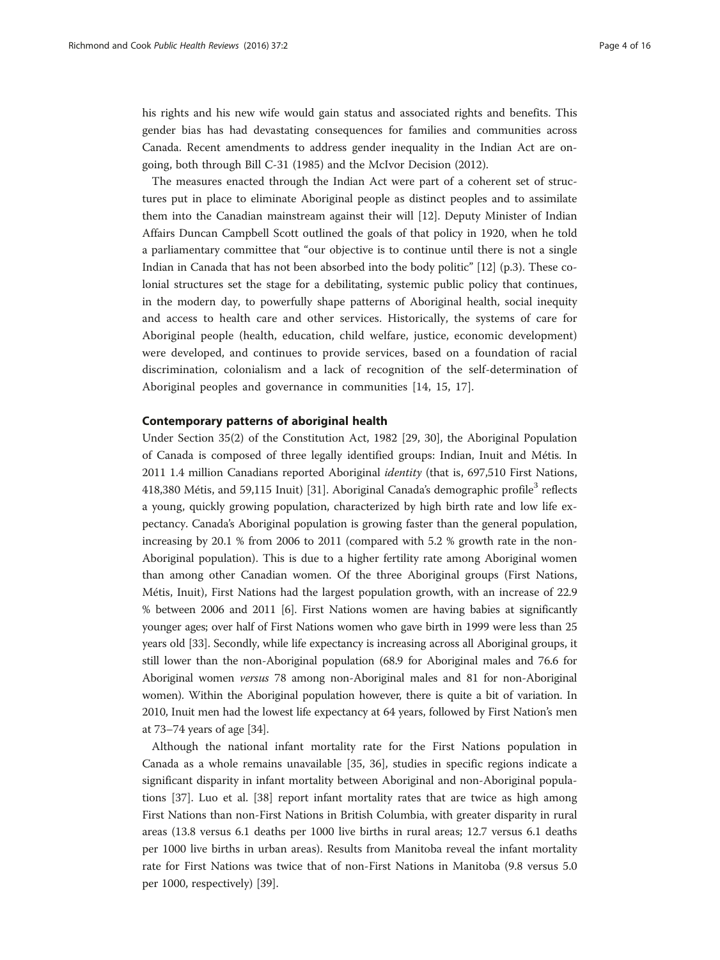his rights and his new wife would gain status and associated rights and benefits. This gender bias has had devastating consequences for families and communities across Canada. Recent amendments to address gender inequality in the Indian Act are ongoing, both through Bill C-31 (1985) and the McIvor Decision (2012).

The measures enacted through the Indian Act were part of a coherent set of structures put in place to eliminate Aboriginal people as distinct peoples and to assimilate them into the Canadian mainstream against their will [\[12\]](#page-12-0). Deputy Minister of Indian Affairs Duncan Campbell Scott outlined the goals of that policy in 1920, when he told a parliamentary committee that "our objective is to continue until there is not a single Indian in Canada that has not been absorbed into the body politic" [[12\]](#page-12-0) (p.3). These colonial structures set the stage for a debilitating, systemic public policy that continues, in the modern day, to powerfully shape patterns of Aboriginal health, social inequity and access to health care and other services. Historically, the systems of care for Aboriginal people (health, education, child welfare, justice, economic development) were developed, and continues to provide services, based on a foundation of racial discrimination, colonialism and a lack of recognition of the self-determination of Aboriginal peoples and governance in communities [[14, 15, 17\]](#page-12-0).

#### Contemporary patterns of aboriginal health

Under Section 35(2) of the Constitution Act, 1982 [[29](#page-12-0), [30](#page-12-0)], the Aboriginal Population of Canada is composed of three legally identified groups: Indian, Inuit and Métis. In 2011 1.4 million Canadians reported Aboriginal *identity* (that is, 697,510 First Nations, 418,380 Métis, and 59,115 Inuit) [[31\]](#page-13-0). Aboriginal Canada's demographic profile<sup>3</sup> reflects a young, quickly growing population, characterized by high birth rate and low life expectancy. Canada's Aboriginal population is growing faster than the general population, increasing by 20.1 % from 2006 to 2011 (compared with 5.2 % growth rate in the non-Aboriginal population). This is due to a higher fertility rate among Aboriginal women than among other Canadian women. Of the three Aboriginal groups (First Nations, Métis, Inuit), First Nations had the largest population growth, with an increase of 22.9 % between 2006 and 2011 [[6](#page-12-0)]. First Nations women are having babies at significantly younger ages; over half of First Nations women who gave birth in 1999 were less than 25 years old [\[33\]](#page-13-0). Secondly, while life expectancy is increasing across all Aboriginal groups, it still lower than the non-Aboriginal population (68.9 for Aboriginal males and 76.6 for Aboriginal women versus 78 among non-Aboriginal males and 81 for non-Aboriginal women). Within the Aboriginal population however, there is quite a bit of variation. In 2010, Inuit men had the lowest life expectancy at 64 years, followed by First Nation's men at 73–74 years of age [[34](#page-13-0)].

Although the national infant mortality rate for the First Nations population in Canada as a whole remains unavailable [\[35, 36\]](#page-13-0), studies in specific regions indicate a significant disparity in infant mortality between Aboriginal and non-Aboriginal populations [\[37\]](#page-13-0). Luo et al. [[38\]](#page-13-0) report infant mortality rates that are twice as high among First Nations than non-First Nations in British Columbia, with greater disparity in rural areas (13.8 versus 6.1 deaths per 1000 live births in rural areas; 12.7 versus 6.1 deaths per 1000 live births in urban areas). Results from Manitoba reveal the infant mortality rate for First Nations was twice that of non-First Nations in Manitoba (9.8 versus 5.0 per 1000, respectively) [\[39](#page-13-0)].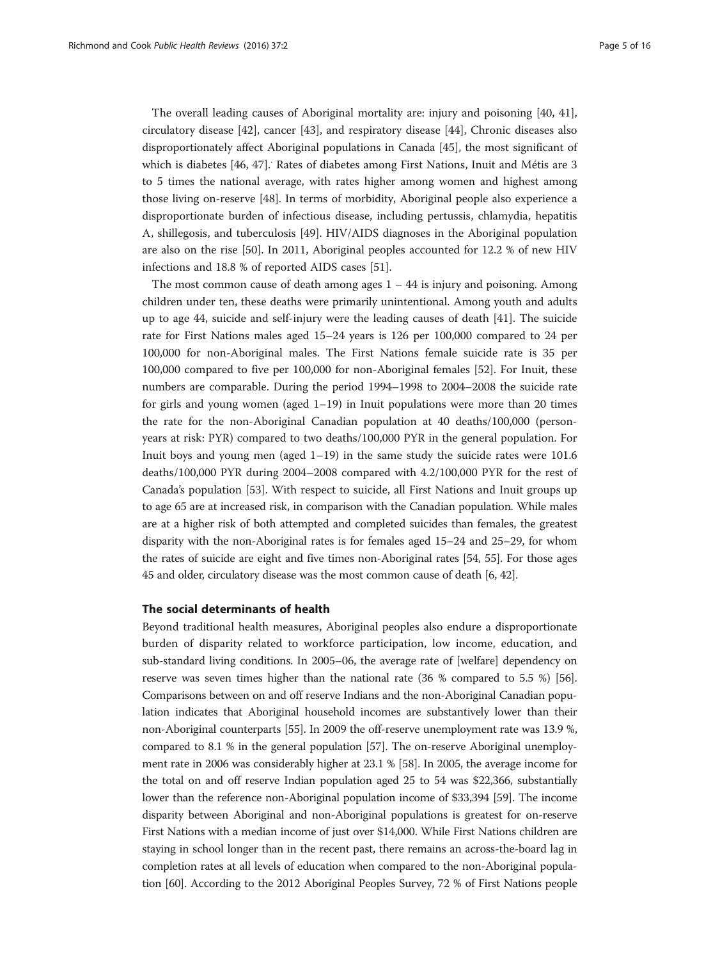The overall leading causes of Aboriginal mortality are: injury and poisoning [\[40, 41](#page-13-0)], circulatory disease [[42\]](#page-13-0), cancer [[43](#page-13-0)], and respiratory disease [[44\]](#page-13-0), Chronic diseases also disproportionately affect Aboriginal populations in Canada [[45](#page-13-0)], the most significant of which is diabetes [[46, 47\]](#page-13-0). Rates of diabetes among First Nations, Inuit and Métis are 3 to 5 times the national average, with rates higher among women and highest among those living on-reserve [[48\]](#page-13-0). In terms of morbidity, Aboriginal people also experience a disproportionate burden of infectious disease, including pertussis, chlamydia, hepatitis A, shillegosis, and tuberculosis [\[49](#page-13-0)]. HIV/AIDS diagnoses in the Aboriginal population are also on the rise [\[50\]](#page-13-0). In 2011, Aboriginal peoples accounted for 12.2 % of new HIV infections and 18.8 % of reported AIDS cases [\[51\]](#page-13-0).

The most common cause of death among ages  $1 - 44$  is injury and poisoning. Among children under ten, these deaths were primarily unintentional. Among youth and adults up to age 44, suicide and self-injury were the leading causes of death [\[41](#page-13-0)]. The suicide rate for First Nations males aged 15–24 years is 126 per 100,000 compared to 24 per 100,000 for non-Aboriginal males. The First Nations female suicide rate is 35 per 100,000 compared to five per 100,000 for non-Aboriginal females [\[52](#page-13-0)]. For Inuit, these numbers are comparable. During the period 1994–1998 to 2004–2008 the suicide rate for girls and young women (aged  $1-19$ ) in Inuit populations were more than 20 times the rate for the non-Aboriginal Canadian population at 40 deaths/100,000 (personyears at risk: PYR) compared to two deaths/100,000 PYR in the general population. For Inuit boys and young men (aged  $1-19$ ) in the same study the suicide rates were  $101.6$ deaths/100,000 PYR during 2004–2008 compared with 4.2/100,000 PYR for the rest of Canada's population [\[53](#page-13-0)]. With respect to suicide, all First Nations and Inuit groups up to age 65 are at increased risk, in comparison with the Canadian population. While males are at a higher risk of both attempted and completed suicides than females, the greatest disparity with the non-Aboriginal rates is for females aged 15–24 and 25–29, for whom the rates of suicide are eight and five times non-Aboriginal rates [\[54, 55\]](#page-13-0). For those ages 45 and older, circulatory disease was the most common cause of death [\[6](#page-12-0), [42](#page-13-0)].

#### The social determinants of health

Beyond traditional health measures, Aboriginal peoples also endure a disproportionate burden of disparity related to workforce participation, low income, education, and sub-standard living conditions. In 2005–06, the average rate of [welfare] dependency on reserve was seven times higher than the national rate (36 % compared to 5.5 %) [[56](#page-13-0)]. Comparisons between on and off reserve Indians and the non-Aboriginal Canadian population indicates that Aboriginal household incomes are substantively lower than their non-Aboriginal counterparts [\[55](#page-13-0)]. In 2009 the off-reserve unemployment rate was 13.9 %, compared to 8.1 % in the general population [[57](#page-13-0)]. The on-reserve Aboriginal unemployment rate in 2006 was considerably higher at 23.1 % [[58](#page-13-0)]. In 2005, the average income for the total on and off reserve Indian population aged 25 to 54 was \$22,366, substantially lower than the reference non-Aboriginal population income of \$33,394 [\[59\]](#page-13-0). The income disparity between Aboriginal and non-Aboriginal populations is greatest for on-reserve First Nations with a median income of just over \$14,000. While First Nations children are staying in school longer than in the recent past, there remains an across-the-board lag in completion rates at all levels of education when compared to the non-Aboriginal population [[60](#page-13-0)]. According to the 2012 Aboriginal Peoples Survey, 72 % of First Nations people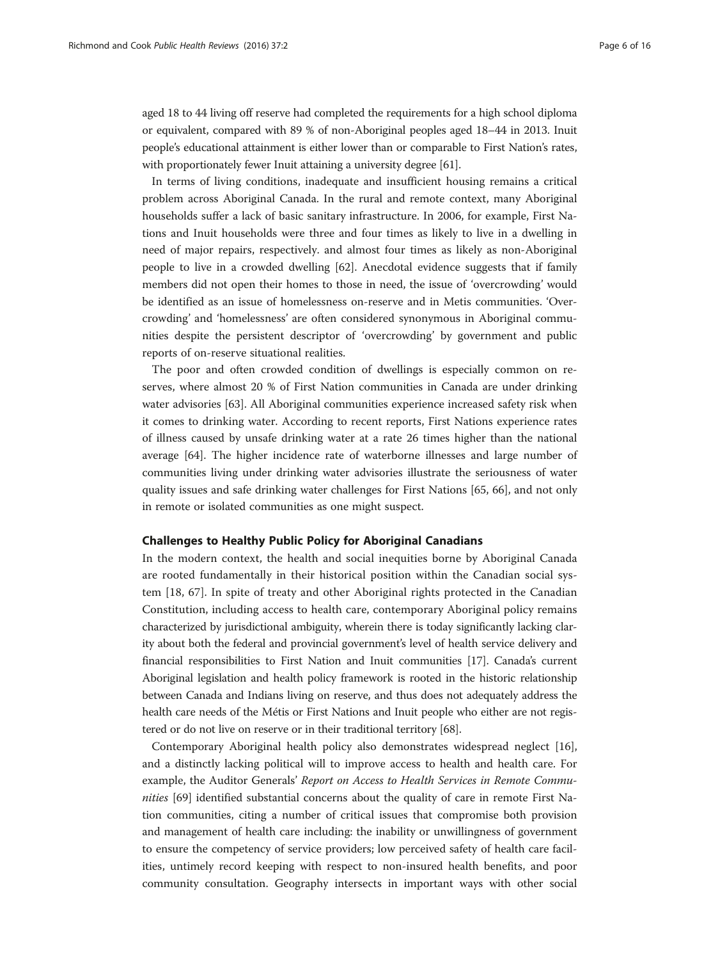aged 18 to 44 living off reserve had completed the requirements for a high school diploma or equivalent, compared with 89 % of non-Aboriginal peoples aged 18–44 in 2013. Inuit people's educational attainment is either lower than or comparable to First Nation's rates, with proportionately fewer Inuit attaining a university degree [[61](#page-14-0)].

In terms of living conditions, inadequate and insufficient housing remains a critical problem across Aboriginal Canada. In the rural and remote context, many Aboriginal households suffer a lack of basic sanitary infrastructure. In 2006, for example, First Nations and Inuit households were three and four times as likely to live in a dwelling in need of major repairs, respectively. and almost four times as likely as non-Aboriginal people to live in a crowded dwelling [\[62](#page-14-0)]. Anecdotal evidence suggests that if family members did not open their homes to those in need, the issue of 'overcrowding' would be identified as an issue of homelessness on-reserve and in Metis communities. 'Overcrowding' and 'homelessness' are often considered synonymous in Aboriginal communities despite the persistent descriptor of 'overcrowding' by government and public reports of on-reserve situational realities.

The poor and often crowded condition of dwellings is especially common on reserves, where almost 20 % of First Nation communities in Canada are under drinking water advisories [\[63\]](#page-14-0). All Aboriginal communities experience increased safety risk when it comes to drinking water. According to recent reports, First Nations experience rates of illness caused by unsafe drinking water at a rate 26 times higher than the national average [[64](#page-14-0)]. The higher incidence rate of waterborne illnesses and large number of communities living under drinking water advisories illustrate the seriousness of water quality issues and safe drinking water challenges for First Nations [[65](#page-14-0), [66](#page-14-0)], and not only in remote or isolated communities as one might suspect.

#### Challenges to Healthy Public Policy for Aboriginal Canadians

In the modern context, the health and social inequities borne by Aboriginal Canada are rooted fundamentally in their historical position within the Canadian social system [\[18](#page-12-0), [67\]](#page-14-0). In spite of treaty and other Aboriginal rights protected in the Canadian Constitution, including access to health care, contemporary Aboriginal policy remains characterized by jurisdictional ambiguity, wherein there is today significantly lacking clarity about both the federal and provincial government's level of health service delivery and financial responsibilities to First Nation and Inuit communities [[17](#page-12-0)]. Canada's current Aboriginal legislation and health policy framework is rooted in the historic relationship between Canada and Indians living on reserve, and thus does not adequately address the health care needs of the Métis or First Nations and Inuit people who either are not registered or do not live on reserve or in their traditional territory [[68\]](#page-14-0).

Contemporary Aboriginal health policy also demonstrates widespread neglect [[16](#page-12-0)], and a distinctly lacking political will to improve access to health and health care. For example, the Auditor Generals' Report on Access to Health Services in Remote Communities [[69\]](#page-14-0) identified substantial concerns about the quality of care in remote First Nation communities, citing a number of critical issues that compromise both provision and management of health care including: the inability or unwillingness of government to ensure the competency of service providers; low perceived safety of health care facilities, untimely record keeping with respect to non-insured health benefits, and poor community consultation. Geography intersects in important ways with other social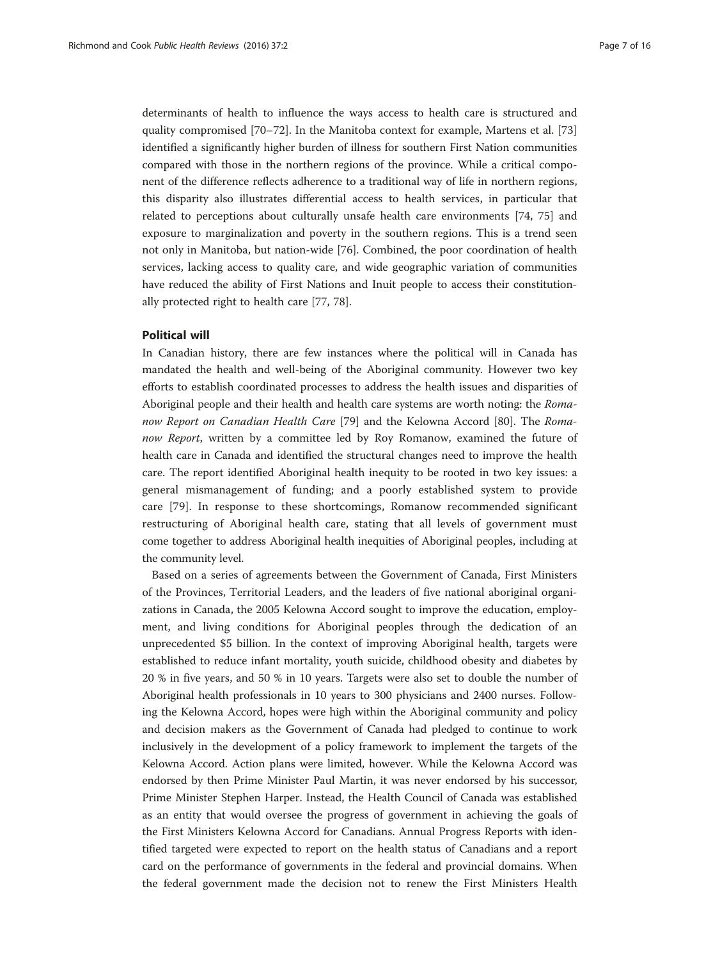determinants of health to influence the ways access to health care is structured and quality compromised [\[70](#page-14-0)–[72\]](#page-14-0). In the Manitoba context for example, Martens et al. [[73](#page-14-0)] identified a significantly higher burden of illness for southern First Nation communities compared with those in the northern regions of the province. While a critical component of the difference reflects adherence to a traditional way of life in northern regions, this disparity also illustrates differential access to health services, in particular that related to perceptions about culturally unsafe health care environments [[74, 75](#page-14-0)] and exposure to marginalization and poverty in the southern regions. This is a trend seen not only in Manitoba, but nation-wide [\[76\]](#page-14-0). Combined, the poor coordination of health services, lacking access to quality care, and wide geographic variation of communities have reduced the ability of First Nations and Inuit people to access their constitutionally protected right to health care [[77, 78\]](#page-14-0).

#### Political will

In Canadian history, there are few instances where the political will in Canada has mandated the health and well-being of the Aboriginal community. However two key efforts to establish coordinated processes to address the health issues and disparities of Aboriginal people and their health and health care systems are worth noting: the Roma-now Report on Canadian Health Care [\[79](#page-14-0)] and the Kelowna Accord [[80\]](#page-14-0). The Romanow Report, written by a committee led by Roy Romanow, examined the future of health care in Canada and identified the structural changes need to improve the health care. The report identified Aboriginal health inequity to be rooted in two key issues: a general mismanagement of funding; and a poorly established system to provide care [\[79](#page-14-0)]. In response to these shortcomings, Romanow recommended significant restructuring of Aboriginal health care, stating that all levels of government must come together to address Aboriginal health inequities of Aboriginal peoples, including at the community level.

Based on a series of agreements between the Government of Canada, First Ministers of the Provinces, Territorial Leaders, and the leaders of five national aboriginal organizations in Canada, the 2005 Kelowna Accord sought to improve the education, employment, and living conditions for Aboriginal peoples through the dedication of an unprecedented \$5 billion. In the context of improving Aboriginal health, targets were established to reduce infant mortality, youth suicide, childhood obesity and diabetes by 20 % in five years, and 50 % in 10 years. Targets were also set to double the number of Aboriginal health professionals in 10 years to 300 physicians and 2400 nurses. Following the Kelowna Accord, hopes were high within the Aboriginal community and policy and decision makers as the Government of Canada had pledged to continue to work inclusively in the development of a policy framework to implement the targets of the Kelowna Accord. Action plans were limited, however. While the Kelowna Accord was endorsed by then Prime Minister Paul Martin, it was never endorsed by his successor, Prime Minister Stephen Harper. Instead, the Health Council of Canada was established as an entity that would oversee the progress of government in achieving the goals of the First Ministers Kelowna Accord for Canadians. Annual Progress Reports with identified targeted were expected to report on the health status of Canadians and a report card on the performance of governments in the federal and provincial domains. When the federal government made the decision not to renew the First Ministers Health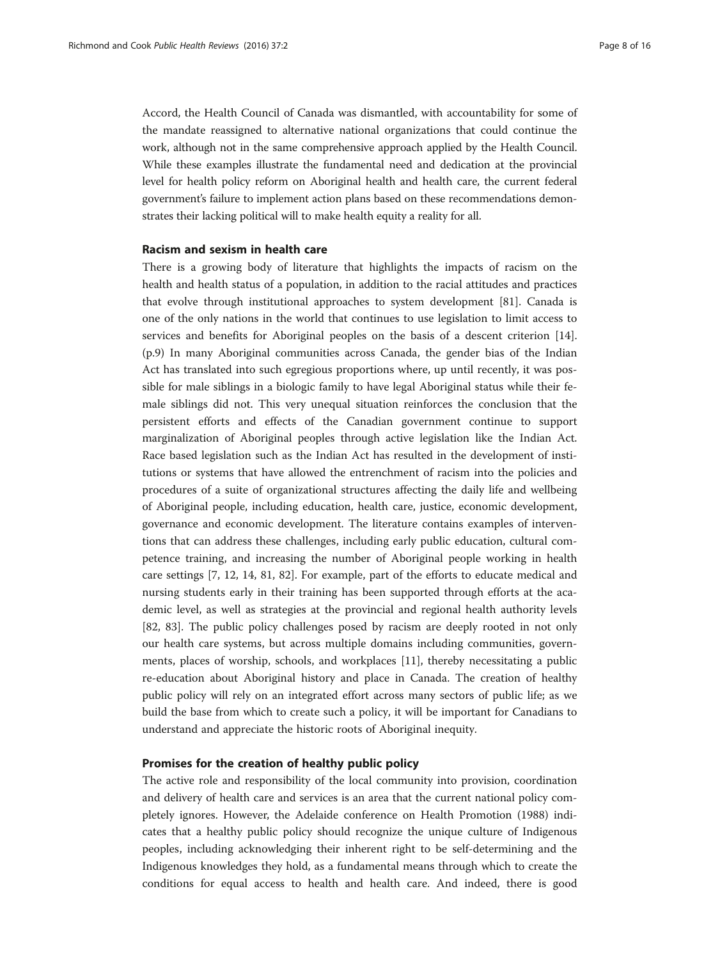Accord, the Health Council of Canada was dismantled, with accountability for some of the mandate reassigned to alternative national organizations that could continue the work, although not in the same comprehensive approach applied by the Health Council. While these examples illustrate the fundamental need and dedication at the provincial level for health policy reform on Aboriginal health and health care, the current federal government's failure to implement action plans based on these recommendations demonstrates their lacking political will to make health equity a reality for all.

#### Racism and sexism in health care

There is a growing body of literature that highlights the impacts of racism on the health and health status of a population, in addition to the racial attitudes and practices that evolve through institutional approaches to system development [\[81](#page-14-0)]. Canada is one of the only nations in the world that continues to use legislation to limit access to services and benefits for Aboriginal peoples on the basis of a descent criterion [[14](#page-12-0)]. (p.9) In many Aboriginal communities across Canada, the gender bias of the Indian Act has translated into such egregious proportions where, up until recently, it was possible for male siblings in a biologic family to have legal Aboriginal status while their female siblings did not. This very unequal situation reinforces the conclusion that the persistent efforts and effects of the Canadian government continue to support marginalization of Aboriginal peoples through active legislation like the Indian Act. Race based legislation such as the Indian Act has resulted in the development of institutions or systems that have allowed the entrenchment of racism into the policies and procedures of a suite of organizational structures affecting the daily life and wellbeing of Aboriginal people, including education, health care, justice, economic development, governance and economic development. The literature contains examples of interventions that can address these challenges, including early public education, cultural competence training, and increasing the number of Aboriginal people working in health care settings [\[7, 12](#page-12-0), [14](#page-12-0), [81](#page-14-0), [82\]](#page-14-0). For example, part of the efforts to educate medical and nursing students early in their training has been supported through efforts at the academic level, as well as strategies at the provincial and regional health authority levels [[82, 83\]](#page-14-0). The public policy challenges posed by racism are deeply rooted in not only our health care systems, but across multiple domains including communities, governments, places of worship, schools, and workplaces [[11\]](#page-12-0), thereby necessitating a public re-education about Aboriginal history and place in Canada. The creation of healthy public policy will rely on an integrated effort across many sectors of public life; as we build the base from which to create such a policy, it will be important for Canadians to understand and appreciate the historic roots of Aboriginal inequity.

### Promises for the creation of healthy public policy

The active role and responsibility of the local community into provision, coordination and delivery of health care and services is an area that the current national policy completely ignores. However, the Adelaide conference on Health Promotion (1988) indicates that a healthy public policy should recognize the unique culture of Indigenous peoples, including acknowledging their inherent right to be self-determining and the Indigenous knowledges they hold, as a fundamental means through which to create the conditions for equal access to health and health care. And indeed, there is good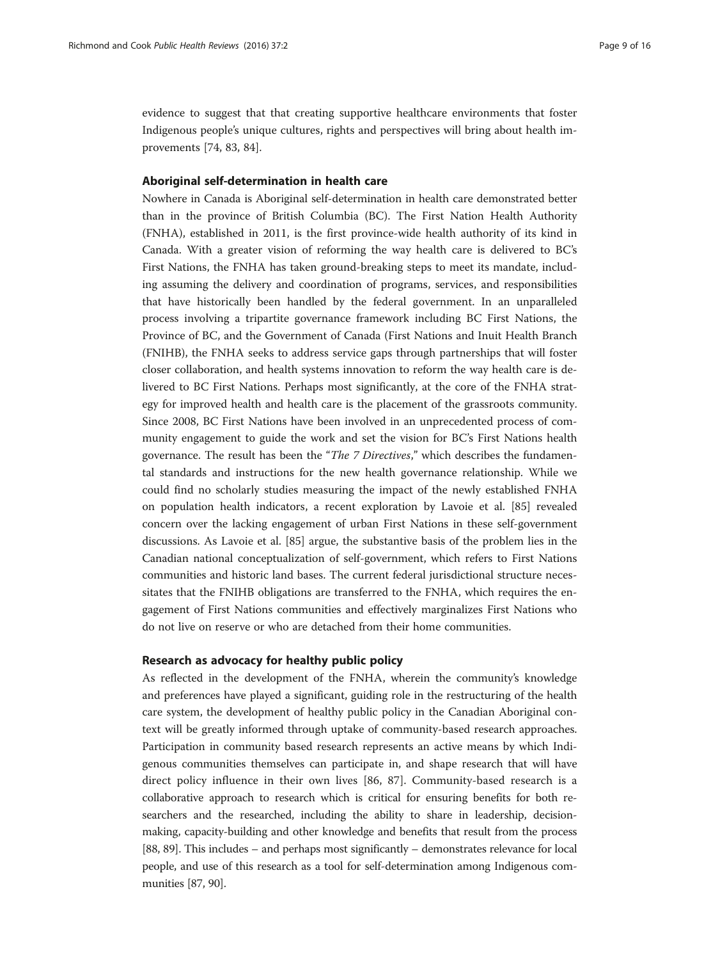evidence to suggest that that creating supportive healthcare environments that foster Indigenous people's unique cultures, rights and perspectives will bring about health improvements [[74, 83](#page-14-0), [84](#page-14-0)].

#### Aboriginal self-determination in health care

Nowhere in Canada is Aboriginal self-determination in health care demonstrated better than in the province of British Columbia (BC). The First Nation Health Authority (FNHA), established in 2011, is the first province-wide health authority of its kind in Canada. With a greater vision of reforming the way health care is delivered to BC's First Nations, the FNHA has taken ground-breaking steps to meet its mandate, including assuming the delivery and coordination of programs, services, and responsibilities that have historically been handled by the federal government. In an unparalleled process involving a tripartite governance framework including BC First Nations, the Province of BC, and the Government of Canada (First Nations and Inuit Health Branch (FNIHB), the FNHA seeks to address service gaps through partnerships that will foster closer collaboration, and health systems innovation to reform the way health care is delivered to BC First Nations. Perhaps most significantly, at the core of the FNHA strategy for improved health and health care is the placement of the grassroots community. Since 2008, BC First Nations have been involved in an unprecedented process of community engagement to guide the work and set the vision for BC's First Nations health governance. The result has been the "The 7 Directives," which describes the fundamental standards and instructions for the new health governance relationship. While we could find no scholarly studies measuring the impact of the newly established FNHA on population health indicators, a recent exploration by Lavoie et al. [\[85\]](#page-14-0) revealed concern over the lacking engagement of urban First Nations in these self-government discussions. As Lavoie et al. [\[85](#page-14-0)] argue, the substantive basis of the problem lies in the Canadian national conceptualization of self-government, which refers to First Nations communities and historic land bases. The current federal jurisdictional structure necessitates that the FNIHB obligations are transferred to the FNHA, which requires the engagement of First Nations communities and effectively marginalizes First Nations who do not live on reserve or who are detached from their home communities.

# Research as advocacy for healthy public policy

As reflected in the development of the FNHA, wherein the community's knowledge and preferences have played a significant, guiding role in the restructuring of the health care system, the development of healthy public policy in the Canadian Aboriginal context will be greatly informed through uptake of community-based research approaches. Participation in community based research represents an active means by which Indigenous communities themselves can participate in, and shape research that will have direct policy influence in their own lives [[86, 87\]](#page-14-0). Community-based research is a collaborative approach to research which is critical for ensuring benefits for both researchers and the researched, including the ability to share in leadership, decisionmaking, capacity-building and other knowledge and benefits that result from the process [[88](#page-14-0), [89\]](#page-14-0). This includes – and perhaps most significantly – demonstrates relevance for local people, and use of this research as a tool for self-determination among Indigenous communities [\[87, 90\]](#page-14-0).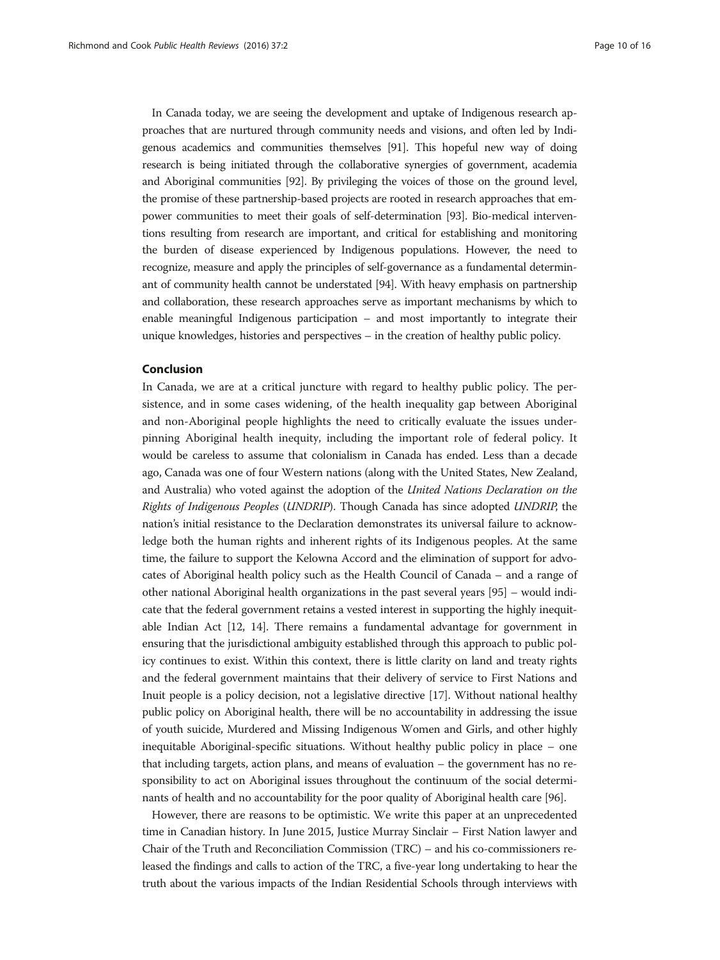In Canada today, we are seeing the development and uptake of Indigenous research approaches that are nurtured through community needs and visions, and often led by Indigenous academics and communities themselves [[91](#page-14-0)]. This hopeful new way of doing research is being initiated through the collaborative synergies of government, academia and Aboriginal communities [\[92\]](#page-15-0). By privileging the voices of those on the ground level, the promise of these partnership-based projects are rooted in research approaches that empower communities to meet their goals of self-determination [\[93\]](#page-15-0). Bio-medical interventions resulting from research are important, and critical for establishing and monitoring the burden of disease experienced by Indigenous populations. However, the need to recognize, measure and apply the principles of self-governance as a fundamental determinant of community health cannot be understated [[94](#page-15-0)]. With heavy emphasis on partnership and collaboration, these research approaches serve as important mechanisms by which to enable meaningful Indigenous participation – and most importantly to integrate their unique knowledges, histories and perspectives – in the creation of healthy public policy.

### Conclusion

In Canada, we are at a critical juncture with regard to healthy public policy. The persistence, and in some cases widening, of the health inequality gap between Aboriginal and non-Aboriginal people highlights the need to critically evaluate the issues underpinning Aboriginal health inequity, including the important role of federal policy. It would be careless to assume that colonialism in Canada has ended. Less than a decade ago, Canada was one of four Western nations (along with the United States, New Zealand, and Australia) who voted against the adoption of the United Nations Declaration on the Rights of Indigenous Peoples (UNDRIP). Though Canada has since adopted UNDRIP, the nation's initial resistance to the Declaration demonstrates its universal failure to acknowledge both the human rights and inherent rights of its Indigenous peoples. At the same time, the failure to support the Kelowna Accord and the elimination of support for advocates of Aboriginal health policy such as the Health Council of Canada – and a range of other national Aboriginal health organizations in the past several years [\[95\]](#page-15-0) – would indicate that the federal government retains a vested interest in supporting the highly inequitable Indian Act [\[12, 14](#page-12-0)]. There remains a fundamental advantage for government in ensuring that the jurisdictional ambiguity established through this approach to public policy continues to exist. Within this context, there is little clarity on land and treaty rights and the federal government maintains that their delivery of service to First Nations and Inuit people is a policy decision, not a legislative directive [\[17\]](#page-12-0). Without national healthy public policy on Aboriginal health, there will be no accountability in addressing the issue of youth suicide, Murdered and Missing Indigenous Women and Girls, and other highly inequitable Aboriginal-specific situations. Without healthy public policy in place – one that including targets, action plans, and means of evaluation – the government has no responsibility to act on Aboriginal issues throughout the continuum of the social determinants of health and no accountability for the poor quality of Aboriginal health care [[96](#page-15-0)].

However, there are reasons to be optimistic. We write this paper at an unprecedented time in Canadian history. In June 2015, Justice Murray Sinclair – First Nation lawyer and Chair of the Truth and Reconciliation Commission (TRC) – and his co-commissioners released the findings and calls to action of the TRC, a five-year long undertaking to hear the truth about the various impacts of the Indian Residential Schools through interviews with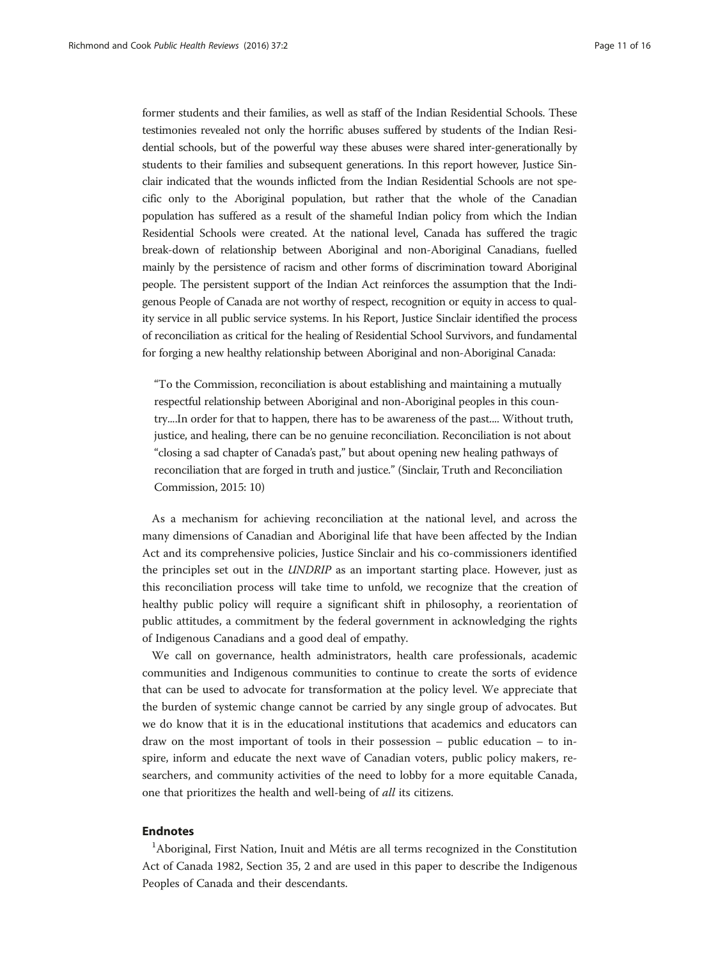former students and their families, as well as staff of the Indian Residential Schools. These testimonies revealed not only the horrific abuses suffered by students of the Indian Residential schools, but of the powerful way these abuses were shared inter-generationally by students to their families and subsequent generations. In this report however, Justice Sinclair indicated that the wounds inflicted from the Indian Residential Schools are not specific only to the Aboriginal population, but rather that the whole of the Canadian population has suffered as a result of the shameful Indian policy from which the Indian Residential Schools were created. At the national level, Canada has suffered the tragic break-down of relationship between Aboriginal and non-Aboriginal Canadians, fuelled mainly by the persistence of racism and other forms of discrimination toward Aboriginal people. The persistent support of the Indian Act reinforces the assumption that the Indigenous People of Canada are not worthy of respect, recognition or equity in access to quality service in all public service systems. In his Report, Justice Sinclair identified the process of reconciliation as critical for the healing of Residential School Survivors, and fundamental for forging a new healthy relationship between Aboriginal and non-Aboriginal Canada:

"To the Commission, reconciliation is about establishing and maintaining a mutually respectful relationship between Aboriginal and non-Aboriginal peoples in this country....In order for that to happen, there has to be awareness of the past.... Without truth, justice, and healing, there can be no genuine reconciliation. Reconciliation is not about "closing a sad chapter of Canada's past," but about opening new healing pathways of reconciliation that are forged in truth and justice." (Sinclair, Truth and Reconciliation Commission, 2015: 10)

As a mechanism for achieving reconciliation at the national level, and across the many dimensions of Canadian and Aboriginal life that have been affected by the Indian Act and its comprehensive policies, Justice Sinclair and his co-commissioners identified the principles set out in the UNDRIP as an important starting place. However, just as this reconciliation process will take time to unfold, we recognize that the creation of healthy public policy will require a significant shift in philosophy, a reorientation of public attitudes, a commitment by the federal government in acknowledging the rights of Indigenous Canadians and a good deal of empathy.

We call on governance, health administrators, health care professionals, academic communities and Indigenous communities to continue to create the sorts of evidence that can be used to advocate for transformation at the policy level. We appreciate that the burden of systemic change cannot be carried by any single group of advocates. But we do know that it is in the educational institutions that academics and educators can draw on the most important of tools in their possession – public education – to inspire, inform and educate the next wave of Canadian voters, public policy makers, researchers, and community activities of the need to lobby for a more equitable Canada, one that prioritizes the health and well-being of all its citizens.

### Endnotes

<sup>1</sup>Aboriginal, First Nation, Inuit and Métis are all terms recognized in the Constitution Act of Canada 1982, Section 35, 2 and are used in this paper to describe the Indigenous Peoples of Canada and their descendants.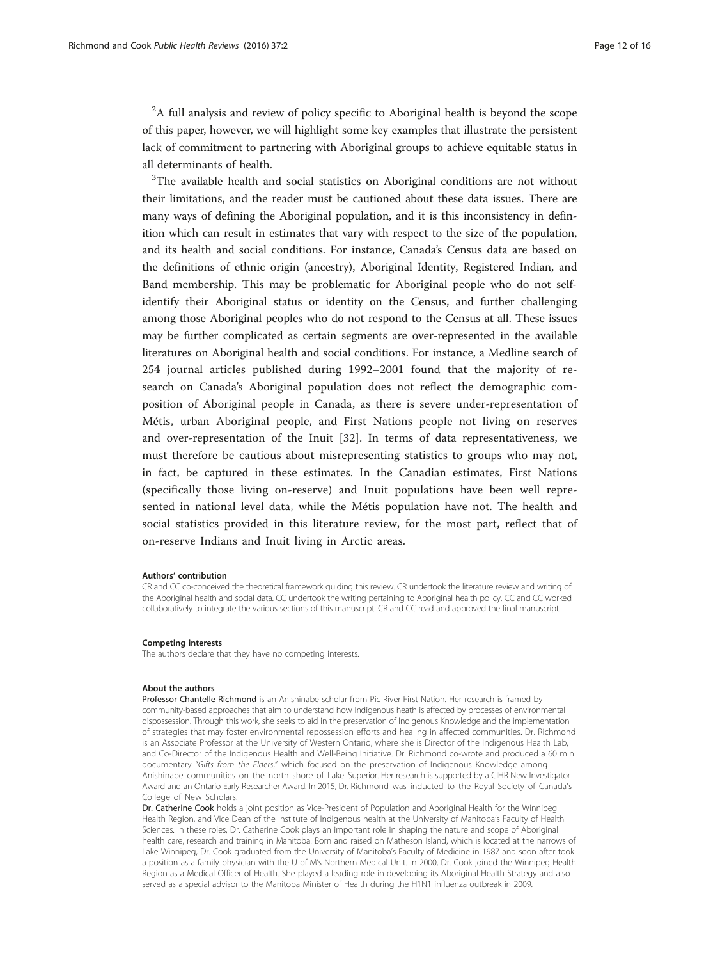$2A$  full analysis and review of policy specific to Aboriginal health is beyond the scope of this paper, however, we will highlight some key examples that illustrate the persistent lack of commitment to partnering with Aboriginal groups to achieve equitable status in all determinants of health.

<sup>3</sup>The available health and social statistics on Aboriginal conditions are not without their limitations, and the reader must be cautioned about these data issues. There are many ways of defining the Aboriginal population, and it is this inconsistency in definition which can result in estimates that vary with respect to the size of the population, and its health and social conditions. For instance, Canada's Census data are based on the definitions of ethnic origin (ancestry), Aboriginal Identity, Registered Indian, and Band membership. This may be problematic for Aboriginal people who do not selfidentify their Aboriginal status or identity on the Census, and further challenging among those Aboriginal peoples who do not respond to the Census at all. These issues may be further complicated as certain segments are over-represented in the available literatures on Aboriginal health and social conditions. For instance, a Medline search of 254 journal articles published during 1992–2001 found that the majority of research on Canada's Aboriginal population does not reflect the demographic composition of Aboriginal people in Canada, as there is severe under-representation of Métis, urban Aboriginal people, and First Nations people not living on reserves and over-representation of the Inuit [[32](#page-13-0)]. In terms of data representativeness, we must therefore be cautious about misrepresenting statistics to groups who may not, in fact, be captured in these estimates. In the Canadian estimates, First Nations (specifically those living on-reserve) and Inuit populations have been well represented in national level data, while the Métis population have not. The health and social statistics provided in this literature review, for the most part, reflect that of on-reserve Indians and Inuit living in Arctic areas.

#### Authors' contribution

CR and CC co-conceived the theoretical framework guiding this review. CR undertook the literature review and writing of the Aboriginal health and social data. CC undertook the writing pertaining to Aboriginal health policy. CC and CC worked collaboratively to integrate the various sections of this manuscript. CR and CC read and approved the final manuscript.

#### Competing interests

The authors declare that they have no competing interests.

#### About the authors

Professor Chantelle Richmond is an Anishinabe scholar from Pic River First Nation. Her research is framed by community-based approaches that aim to understand how Indigenous heath is affected by processes of environmental dispossession. Through this work, she seeks to aid in the preservation of Indigenous Knowledge and the implementation of strategies that may foster environmental repossession efforts and healing in affected communities. Dr. Richmond is an Associate Professor at the University of Western Ontario, where she is Director of the Indigenous Health Lab, and Co-Director of the Indigenous Health and Well-Being Initiative. Dr. Richmond co-wrote and produced a 60 min documentary "Gifts from the Elders," which focused on the preservation of Indigenous Knowledge among Anishinabe communities on the north shore of Lake Superior. Her research is supported by a CIHR New Investigator Award and an Ontario Early Researcher Award. In 2015, Dr. Richmond was inducted to the Royal Society of Canada's College of New Scholars.

Dr. Catherine Cook holds a joint position as Vice-President of Population and Aboriginal Health for the Winnipeg Health Region, and Vice Dean of the Institute of Indigenous health at the University of Manitoba's Faculty of Health Sciences. In these roles, Dr. Catherine Cook plays an important role in shaping the nature and scope of Aboriginal health care, research and training in Manitoba. Born and raised on Matheson Island, which is located at the narrows of Lake Winnipeg, Dr. Cook graduated from the University of Manitoba's Faculty of Medicine in 1987 and soon after took a position as a family physician with the U of M's Northern Medical Unit. In 2000, Dr. Cook joined the Winnipeg Health Region as a Medical Officer of Health. She played a leading role in developing its Aboriginal Health Strategy and also served as a special advisor to the Manitoba Minister of Health during the H1N1 influenza outbreak in 2009.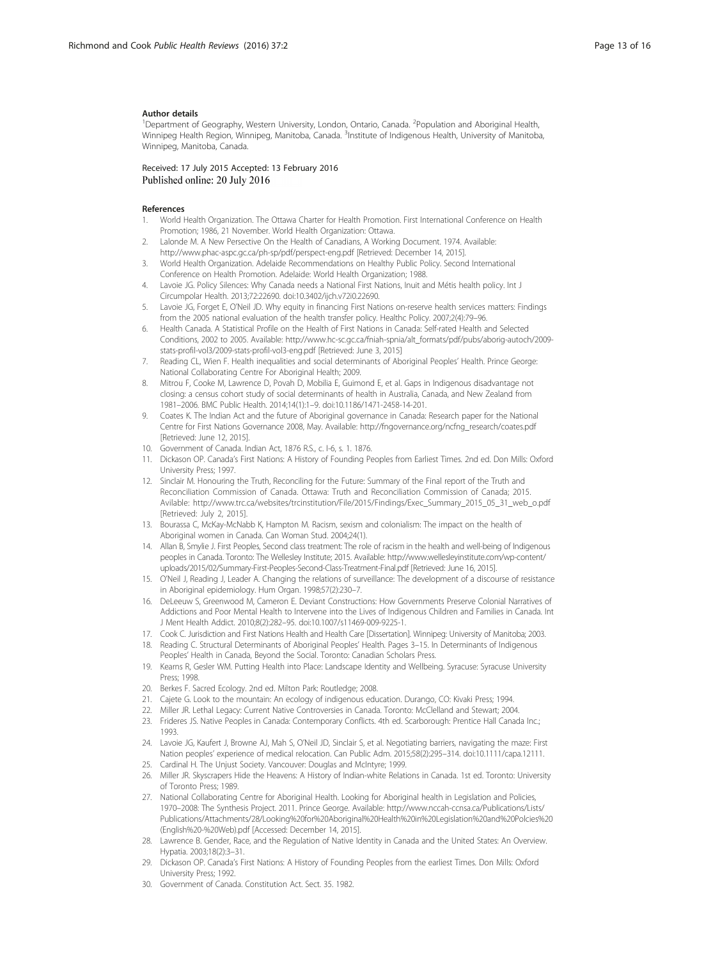#### <span id="page-12-0"></span>Author details

<sup>1</sup>Department of Geography, Western University, London, Ontario, Canada. <sup>2</sup>Population and Aboriginal Health Winnipeg Health Region, Winnipeg, Manitoba, Canada. <sup>3</sup>Institute of Indigenous Health, University of Manitoba, Winnipeg, Manitoba, Canada.

Received: 17 July 2015 Accepted: 13 February 2016 Published online: 20 July 2016

#### References

- 1. World Health Organization. The Ottawa Charter for Health Promotion. First International Conference on Health Promotion; 1986, 21 November. World Health Organization: Ottawa.
- 2. Lalonde M. A New Persective On the Health of Canadians, A Working Document. 1974. Available: <http://www.phac-aspc.gc.ca/ph-sp/pdf/perspect-eng.pdf> [Retrieved: December 14, 2015].
- 3. World Health Organization. Adelaide Recommendations on Healthy Public Policy. Second International Conference on Health Promotion. Adelaide: World Health Organization; 1988.
- 4. Lavoie JG. Policy Silences: Why Canada needs a National First Nations, Inuit and Métis health policy. Int J Circumpolar Health. 2013;72:22690. doi:[10.3402/ijch.v72i0.22690.](http://dx.doi.org/10.3402/ijch.v72i0.22690)
- 5. Lavoie JG, Forget E, O'Neil JD. Why equity in financing First Nations on-reserve health services matters: Findings from the 2005 national evaluation of the health transfer policy. Healthc Policy. 2007;2(4):79–96.
- 6. Health Canada. A Statistical Profile on the Health of First Nations in Canada: Self-rated Health and Selected Conditions, 2002 to 2005. Available: [http://www.hc-sc.gc.ca/fniah-spnia/alt\\_formats/pdf/pubs/aborig-autoch/2009](http://www.hc-sc.gc.ca/fniah-spnia/alt_formats/pdf/pubs/aborig-autoch/2009-stats-profil-vol3/2009-stats-profil-vol3-eng.pdf) [stats-profil-vol3/2009-stats-profil-vol3-eng.pdf](http://www.hc-sc.gc.ca/fniah-spnia/alt_formats/pdf/pubs/aborig-autoch/2009-stats-profil-vol3/2009-stats-profil-vol3-eng.pdf) [Retrieved: June 3, 2015]
- 7. Reading CL, Wien F. Health inequalities and social determinants of Aboriginal Peoples' Health. Prince George: National Collaborating Centre For Aboriginal Health; 2009.
- 8. Mitrou F, Cooke M, Lawrence D, Povah D, Mobilia E, Guimond E, et al. Gaps in Indigenous disadvantage not closing: a census cohort study of social determinants of health in Australia, Canada, and New Zealand from 1981–2006. BMC Public Health. 2014;14(1):1–9. doi[:10.1186/1471-2458-14-201.](http://dx.doi.org/10.1186/1471-2458-14-201)
- Coates K. The Indian Act and the future of Aboriginal governance in Canada: Research paper for the National Centre for First Nations Governance 2008, May. Available: [http://fngovernance.org/ncfng\\_research/coates.pdf](http://fngovernance.org/ncfng_research/coates.pdf) [Retrieved: June 12, 2015].
- 10. Government of Canada. Indian Act, 1876 R.S., c. I-6, s. 1. 1876.
- 11. Dickason OP. Canada's First Nations: A History of Founding Peoples from Earliest Times. 2nd ed. Don Mills: Oxford University Press; 1997.
- 12. Sinclair M. Honouring the Truth, Reconciling for the Future: Summary of the Final report of the Truth and Reconciliation Commission of Canada. Ottawa: Truth and Reconciliation Commission of Canada; 2015. Avilable: [http://www.trc.ca/websites/trcinstitution/File/2015/Findings/Exec\\_Summary\\_2015\\_05\\_31\\_web\\_o.pdf](http://www.trc.ca/websites/trcinstitution/File/2015/Findings/Exec_Summary_2015_05_31_web_o.pdf) [Retrieved: July 2, 2015].
- 13. Bourassa C, McKay-McNabb K, Hampton M. Racism, sexism and colonialism: The impact on the health of Aboriginal women in Canada. Can Woman Stud. 2004;24(1).
- 14. Allan B, Smylie J. First Peoples, Second class treatment: The role of racism in the health and well-being of Indigenous peoples in Canada. Toronto: The Wellesley Institute; 2015. Available: [http://www.wellesleyinstitute.com/wp-content/](http://www.wellesleyinstitute.com/wp-content/uploads/2015/02/Summary-First-Peoples-Second-Class-Treatment-Final.pdf) [uploads/2015/02/Summary-First-Peoples-Second-Class-Treatment-Final.pdf](http://www.wellesleyinstitute.com/wp-content/uploads/2015/02/Summary-First-Peoples-Second-Class-Treatment-Final.pdf) [Retrieved: June 16, 2015].
- 15. O'Neil J, Reading J, Leader A. Changing the relations of surveillance: The development of a discourse of resistance in Aboriginal epidemiology. Hum Organ. 1998;57(2):230–7.
- 16. DeLeeuw S, Greenwood M, Cameron E. Deviant Constructions: How Governments Preserve Colonial Narratives of Addictions and Poor Mental Health to Intervene into the Lives of Indigenous Children and Families in Canada. Int J Ment Health Addict. 2010;8(2):282–95. doi:[10.1007/s11469-009-9225-1.](http://dx.doi.org/10.1007/s11469-009-9225-1)
- 17. Cook C. Jurisdiction and First Nations Health and Health Care [Dissertation]. Winnipeg: University of Manitoba; 2003.
- 18. Reading C. Structural Determinants of Aboriginal Peoples' Health. Pages 3–15. In Determinants of Indigenous Peoples' Health in Canada, Beyond the Social. Toronto: Canadian Scholars Press.
- 19. Kearns R, Gesler WM. Putting Health into Place: Landscape Identity and Wellbeing. Syracuse: Syracuse University Press; 1998.
- 20. Berkes F. Sacred Ecology. 2nd ed. Milton Park: Routledge; 2008.
- 21. Cajete G. Look to the mountain: An ecology of indigenous education. Durango, CO: Kivaki Press; 1994.
- 22. Miller JR. Lethal Legacy: Current Native Controversies in Canada. Toronto: McClelland and Stewart; 2004.
- 23. Frideres JS. Native Peoples in Canada: Contemporary Conflicts. 4th ed. Scarborough: Prentice Hall Canada Inc.; 1993.
- 24. Lavoie JG, Kaufert J, Browne AJ, Mah S, O'Neil JD, Sinclair S, et al. Negotiating barriers, navigating the maze: First Nation peoples' experience of medical relocation. Can Public Adm. 2015;58(2):295–314. doi:[10.1111/capa.12111](http://dx.doi.org/10.1111/capa.12111). 25. Cardinal H. The Unjust Society. Vancouver: Douglas and McIntyre; 1999.
- 26. Miller JR. Skyscrapers Hide the Heavens: A History of Indian-white Relations in Canada. 1st ed. Toronto: University of Toronto Press; 1989.
- 27. National Collaborating Centre for Aboriginal Health. Looking for Aboriginal health in Legislation and Policies, 1970–2008: The Synthesis Project. 2011. Prince George. Available: [http://www.nccah-ccnsa.ca/Publications/Lists/](http://www.nccah-ccnsa.ca/Publications/Lists/Publications/Attachments/28/Looking%20for%20Aboriginal%20Health%20in%20Legislation%20and%20Polcies%20(English%20-%20Web).pdf) [Publications/Attachments/28/Looking%20for%20Aboriginal%20Health%20in%20Legislation%20and%20Polcies%20](http://www.nccah-ccnsa.ca/Publications/Lists/Publications/Attachments/28/Looking%20for%20Aboriginal%20Health%20in%20Legislation%20and%20Polcies%20(English%20-%20Web).pdf) [\(English%20-%20Web\).pdf](http://www.nccah-ccnsa.ca/Publications/Lists/Publications/Attachments/28/Looking%20for%20Aboriginal%20Health%20in%20Legislation%20and%20Polcies%20(English%20-%20Web).pdf) [Accessed: December 14, 2015].
- 28. Lawrence B. Gender, Race, and the Regulation of Native Identity in Canada and the United States: An Overview. Hypatia. 2003;18(2):3–31.
- 29. Dickason OP. Canada's First Nations: A History of Founding Peoples from the earliest Times. Don Mills: Oxford University Press; 1992.
- 30. Government of Canada. Constitution Act. Sect. 35. 1982.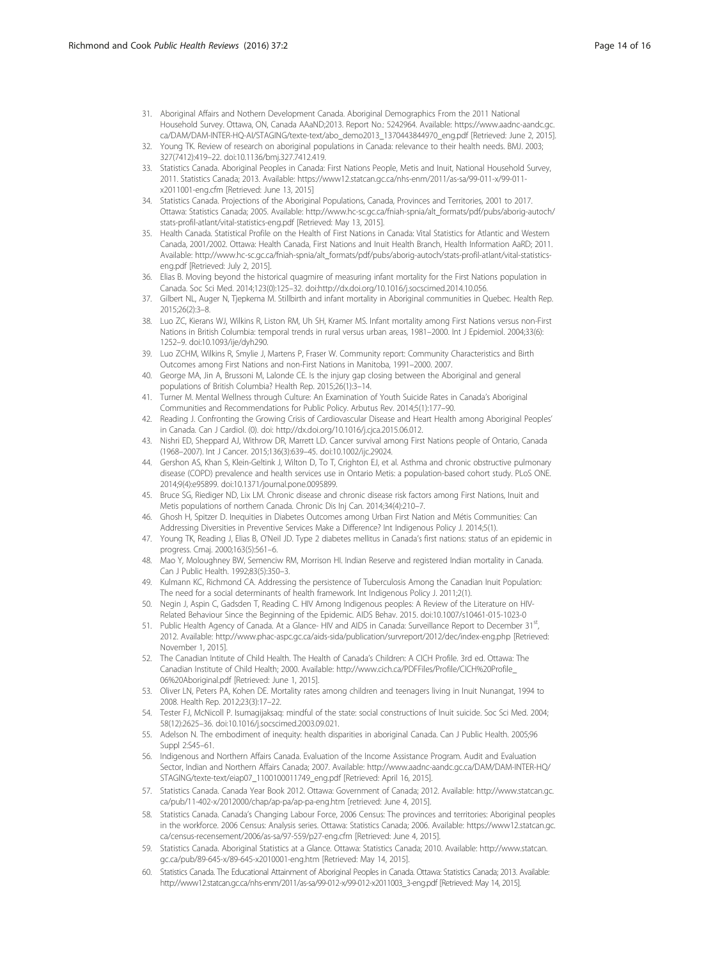- <span id="page-13-0"></span>31. Aboriginal Affairs and Nothern Development Canada. Aboriginal Demographics From the 2011 National Household Survey. Ottawa, ON, Canada AAaND;2013. Report No.: 5242964. Available: [https://www.aadnc-aandc.gc.](https://www.aadnc-aandc.gc.ca/DAM/DAM-INTER-HQ-AI/STAGING/texte-text/abo_demo2013_1370443844970_eng.pdf) [ca/DAM/DAM-INTER-HQ-AI/STAGING/texte-text/abo\\_demo2013\\_1370443844970\\_eng.pdf](https://www.aadnc-aandc.gc.ca/DAM/DAM-INTER-HQ-AI/STAGING/texte-text/abo_demo2013_1370443844970_eng.pdf) [Retrieved: June 2, 2015].
- 32. Young TK. Review of research on aboriginal populations in Canada: relevance to their health needs. BMJ. 2003; 327(7412):419–22. doi:[10.1136/bmj.327.7412.419.](http://dx.doi.org/10.1136/bmj.327.7412.419)
- 33. Statistics Canada. Aboriginal Peoples in Canada: First Nations People, Metis and Inuit, National Household Survey, 2011. Statistics Canada; 2013. Available: [https://www12.statcan.gc.ca/nhs-enm/2011/as-sa/99-011-x/99-011](https://www12.statcan.gc.ca/nhs-enm/2011/as-sa/99-011-x/99-011-x2011001-eng.cfm) [x2011001-eng.cfm](https://www12.statcan.gc.ca/nhs-enm/2011/as-sa/99-011-x/99-011-x2011001-eng.cfm) [Retrieved: June 13, 2015]
- 34. Statistics Canada. Projections of the Aboriginal Populations, Canada, Provinces and Territories, 2001 to 2017. Ottawa: Statistics Canada; 2005. Available: [http://www.hc-sc.gc.ca/fniah-spnia/alt\\_formats/pdf/pubs/aborig-autoch/](http://www.hc-sc.gc.ca/fniah-spnia/alt_formats/pdf/pubs/aborig-autoch/stats-profil-atlant/vital-statistics-eng.pdf) [stats-profil-atlant/vital-statistics-eng.pdf](http://www.hc-sc.gc.ca/fniah-spnia/alt_formats/pdf/pubs/aborig-autoch/stats-profil-atlant/vital-statistics-eng.pdf) [Retrieved: May 13, 2015].
- 35. Health Canada. Statistical Profile on the Health of First Nations in Canada: Vital Statistics for Atlantic and Western Canada, 2001/2002. Ottawa: Health Canada, First Nations and Inuit Health Branch, Health Information AaRD; 2011. Available: [http://www.hc-sc.gc.ca/fniah-spnia/alt\\_formats/pdf/pubs/aborig-autoch/stats-profil-atlant/vital-statistics](http://www.hc-sc.gc.ca/fniah-spnia/alt_formats/pdf/pubs/aborig-autoch/stats-profil-atlant/vital-statistics-eng.pdf)[eng.pdf](http://www.hc-sc.gc.ca/fniah-spnia/alt_formats/pdf/pubs/aborig-autoch/stats-profil-atlant/vital-statistics-eng.pdf) [Retrieved: July 2, 2015].
- 36. Elias B. Moving beyond the historical quagmire of measuring infant mortality for the First Nations population in Canada. Soc Sci Med. 2014;123(0):125–32. [doi:http://dx.doi.org/10.1016/j.socscimed.2014.10.056.](doi:http://dx.doi.org/10.1016/j.socscimed.2014.10.056)
- 37. Gilbert NL, Auger N, Tjepkema M. Stillbirth and infant mortality in Aboriginal communities in Quebec. Health Rep. 2015;26(2):3–8.
- 38. Luo ZC, Kierans WJ, Wilkins R, Liston RM, Uh SH, Kramer MS. Infant mortality among First Nations versus non-First Nations in British Columbia: temporal trends in rural versus urban areas, 1981–2000. Int J Epidemiol. 2004;33(6): 1252–9. doi:[10.1093/ije/dyh290.](http://dx.doi.org/10.1093/ije/dyh290)
- 39. Luo ZCHM, Wilkins R, Smylie J, Martens P, Fraser W. Community report: Community Characteristics and Birth Outcomes among First Nations and non-First Nations in Manitoba, 1991–2000. 2007.
- 40. George MA, Jin A, Brussoni M, Lalonde CE. Is the injury gap closing between the Aboriginal and general populations of British Columbia? Health Rep. 2015;26(1):3–14.
- 41. Turner M. Mental Wellness through Culture: An Examination of Youth Suicide Rates in Canada's Aboriginal Communities and Recommendations for Public Policy. Arbutus Rev. 2014;5(1):177–90.
- 42. Reading J. Confronting the Growing Crisis of Cardiovascular Disease and Heart Health among Aboriginal Peoples' in Canada. Can J Cardiol. (0). doi: [http://dx.doi.org/10.1016/j.cjca.2015.06.012.](http://dx.doi.org/10.1016/j.cjca.2015.06.012)
- 43. Nishri ED, Sheppard AJ, Withrow DR, Marrett LD. Cancer survival among First Nations people of Ontario, Canada (1968–2007). Int J Cancer. 2015;136(3):639–45. doi[:10.1002/ijc.29024.](http://dx.doi.org/10.1002/ijc.29024)
- 44. Gershon AS, Khan S, Klein-Geltink J, Wilton D, To T, Crighton EJ, et al. Asthma and chronic obstructive pulmonary disease (COPD) prevalence and health services use in Ontario Metis: a population-based cohort study. PLoS ONE. 2014;9(4):e95899. doi[:10.1371/journal.pone.0095899.](http://dx.doi.org/10.1371/journal.pone.0095899)
- 45. Bruce SG, Riediger ND, Lix LM. Chronic disease and chronic disease risk factors among First Nations, Inuit and Metis populations of northern Canada. Chronic Dis Inj Can. 2014;34(4):210–7.
- 46. Ghosh H, Spitzer D. Inequities in Diabetes Outcomes among Urban First Nation and Métis Communities: Can Addressing Diversities in Preventive Services Make a Difference? Int Indigenous Policy J. 2014;5(1).
- 47. Young TK, Reading J, Elias B, O'Neil JD. Type 2 diabetes mellitus in Canada's first nations: status of an epidemic in progress. Cmaj. 2000;163(5):561–6.
- 48. Mao Y, Moloughney BW, Semenciw RM, Morrison HI. Indian Reserve and registered Indian mortality in Canada. Can J Public Health. 1992;83(5):350–3.
- 49. Kulmann KC, Richmond CA. Addressing the persistence of Tuberculosis Among the Canadian Inuit Population: The need for a social determinants of health framework. Int Indigenous Policy J. 2011;2(1).
- 50. Negin J, Aspin C, Gadsden T, Reading C. HIV Among Indigenous peoples: A Review of the Literature on HIV-Related Behaviour Since the Beginning of the Epidemic. AIDS Behav. 2015. doi[:10.1007/s10461-015-1023-0](http://dx.doi.org/10.1007/s10461-015-1023-0)
- 51. Public Health Agency of Canada. At a Glance- HIV and AIDS in Canada: Surveillance Report to December 31st, , 2012. Available:<http://www.phac-aspc.gc.ca/aids-sida/publication/survreport/2012/dec/index-eng.php> [Retrieved: November 1, 2015].
- 52. The Canadian Intitute of Child Health. The Health of Canada's Children: A CICH Profile. 3rd ed. Ottawa: The Canadian Institute of Child Health; 2000. Available: [http://www.cich.ca/PDFFiles/Profile/CICH%20Profile\\_](http://www.cich.ca/PDFFiles/Profile/CICH%20Profile_06%20Aboriginal.pdf) [06%20Aboriginal.pdf](http://www.cich.ca/PDFFiles/Profile/CICH%20Profile_06%20Aboriginal.pdf) [Retrieved: June 1, 2015].
- 53. Oliver LN, Peters PA, Kohen DE. Mortality rates among children and teenagers living in Inuit Nunangat, 1994 to 2008. Health Rep. 2012;23(3):17–22.
- 54. Tester FJ, McNicoll P. Isumagijaksaq: mindful of the state: social constructions of Inuit suicide. Soc Sci Med. 2004; 58(12):2625–36. doi:[10.1016/j.socscimed.2003.09.021.](http://dx.doi.org/10.1016/j.socscimed.2003.09.021)
- 55. Adelson N. The embodiment of inequity: health disparities in aboriginal Canada. Can J Public Health. 2005;96 Suppl 2:S45–61.
- 56. Indigenous and Northern Affairs Canada. Evaluation of the Income Assistance Program. Audit and Evaluation Sector, Indian and Northern Affairs Canada; 2007. Available: [http://www.aadnc-aandc.gc.ca/DAM/DAM-INTER-HQ/](http://www.aadnc-aandc.gc.ca/DAM/DAM-INTER-HQ/STAGING/texte-text/eiap07_1100100011749_eng.pdf) [STAGING/texte-text/eiap07\\_1100100011749\\_eng.pdf](http://www.aadnc-aandc.gc.ca/DAM/DAM-INTER-HQ/STAGING/texte-text/eiap07_1100100011749_eng.pdf) [Retrieved: April 16, 2015].
- 57. Statistics Canada. Canada Year Book 2012. Ottawa: Government of Canada; 2012. Available: [http://www.statcan.gc.](http://www.statcan.gc.ca/pub/11-402-x/2012000/chap/ap-pa/ap-pa-eng.htm) [ca/pub/11-402-x/2012000/chap/ap-pa/ap-pa-eng.htm](http://www.statcan.gc.ca/pub/11-402-x/2012000/chap/ap-pa/ap-pa-eng.htm) [retrieved: June 4, 2015].
- 58. Statistics Canada. Canada's Changing Labour Force, 2006 Census: The provinces and territories: Aboriginal peoples in the workforce. 2006 Census: Analysis series. Ottawa: Statistics Canada; 2006. Available: [https://www12.statcan.gc.](https://www12.statcan.gc.ca/census-recensement/2006/as-sa/97-559/p27-eng.cfm) [ca/census-recensement/2006/as-sa/97-559/p27-eng.cfm](https://www12.statcan.gc.ca/census-recensement/2006/as-sa/97-559/p27-eng.cfm) [Retrieved: June 4, 2015].
- 59. Statistics Canada. Aboriginal Statistics at a Glance. Ottawa: Statistics Canada; 2010. Available: [http://www.statcan.](http://www.statcan.gc.ca/pub/89-645-x/89-645-x2010001-eng.htm) [gc.ca/pub/89-645-x/89-645-x2010001-eng.htm](http://www.statcan.gc.ca/pub/89-645-x/89-645-x2010001-eng.htm) [Retrieved: May 14, 2015].
- 60. Statistics Canada. The Educational Attainment of Aboriginal Peoples in Canada. Ottawa: Statistics Canada; 2013. Available: [http://www12.statcan.gc.ca/nhs-enm/2011/as-sa/99-012-x/99-012-x2011003\\_3-eng.pdf](http://www12.statcan.gc.ca/nhs-enm/2011/as-sa/99-012-x/99-012-x2011003_3-eng.pdf) [Retrieved: May 14, 2015].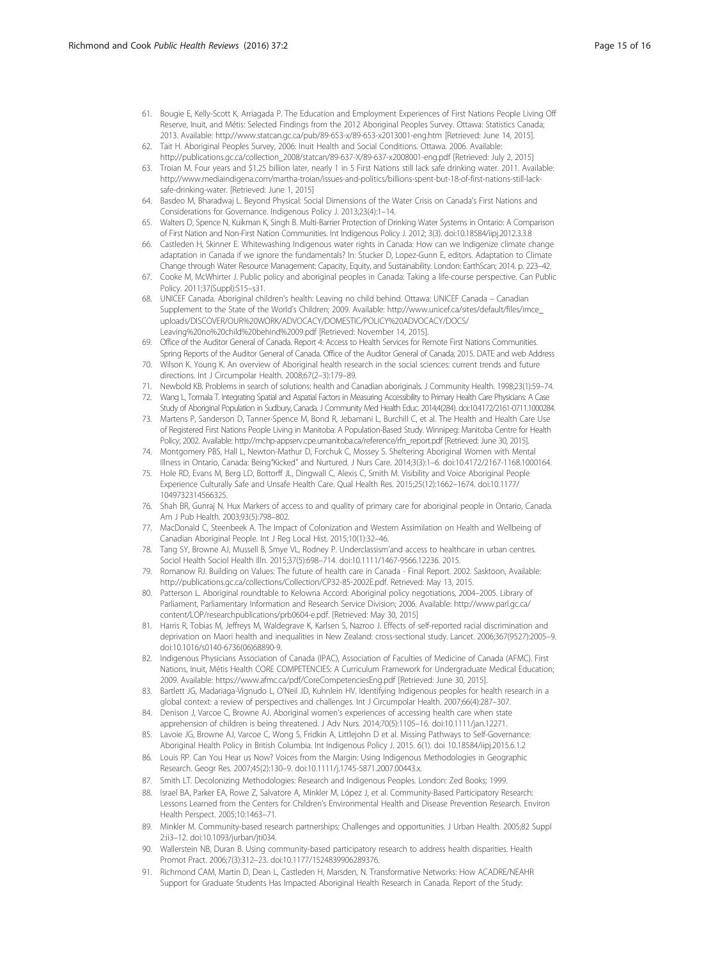- <span id="page-14-0"></span>61. Bougie E, Kelly-Scott K, Arriagada P. The Education and Employment Experiences of First Nations People Living Off Reserve, Inuit, and Métis: Selected Findings from the 2012 Aboriginal Peoples Survey. Ottawa: Statistics Canada; 2013. Available:<http://www.statcan.gc.ca/pub/89-653-x/89-653-x2013001-eng.htm> [Retrieved: June 14, 2015].
- 62. Tait H. Aboriginal Peoples Survey, 2006: Inuit Health and Social Conditions. Ottawa. 2006. Available: [http://publications.gc.ca/collection\\_2008/statcan/89-637-X/89-637-x2008001-eng.pdf](http://publications.gc.ca/collection_2008/statcan/89-637-X/89-637-x2008001-eng.pdf) [Retrieved: July 2, 2015]
- 63. Troian M. Four years and \$1.25 billion later, nearly 1 in 5 First Nations still lack safe drinking water. 2011. Available: [http://www.mediaindigena.com/martha-troian/issues-and-politics/billions-spent-but-18-of-first-nations-still-lack](http://www.mediaindigena.com/martha-troian/issues-and-politics/billions-spent-but-18-of-first-nations-still-lack-safe-drinking-water)[safe-drinking-water](http://www.mediaindigena.com/martha-troian/issues-and-politics/billions-spent-but-18-of-first-nations-still-lack-safe-drinking-water). [Retrieved: June 1, 2015]
- 64. Basdeo M, Bharadwaj L. Beyond Physical: Social Dimensions of the Water Crisis on Canada's First Nations and Considerations for Governance. Indigenous Policy J. 2013;23(4):1–14.
- 65. Walters D, Spence N, Kuikman K, Singh B. Multi-Barrier Protection of Drinking Water Systems in Ontario: A Comparison of First Nation and Non-First Nation Communities. Int Indigenous Policy J. 2012; 3(3). doi:10.18584/iipj.2012.3.3.8
- 66. Castleden H, Skinner E. Whitewashing Indigenous water rights in Canada: How can we Indigenize climate change adaptation in Canada if we ignore the fundamentals? In: Stucker D, Lopez-Gunn E, editors. Adaptation to Climate Change through Water Resource Management: Capacity, Equity, and Sustainability. London: EarthScan; 2014. p. 223–42.
- 67. Cooke M, McWhirter J. Public policy and aboriginal peoples in Canada: Taking a life-course perspective. Can Public Policy. 2011;37(Suppl):S15–s31.
- 68. UNICEF Canada. Aboriginal children's health: Leaving no child behind. Ottawa: UNICEF Canada Canadian Supplement to the State of the World's Children; 2009. Available: [http://www.unicef.ca/sites/default/files/imce\\_](http://www.unicef.ca/sites/default/files/imce_uploads/DISCOVER/OUR%20WORK/ADVOCACY/DOMESTIC/POLICY%20ADVOCACY/DOCS/Leaving%20no%20child%20behind%2009.pdf) [uploads/DISCOVER/OUR%20WORK/ADVOCACY/DOMESTIC/POLICY%20ADVOCACY/DOCS/](http://www.unicef.ca/sites/default/files/imce_uploads/DISCOVER/OUR%20WORK/ADVOCACY/DOMESTIC/POLICY%20ADVOCACY/DOCS/Leaving%20no%20child%20behind%2009.pdf) [Leaving%20no%20child%20behind%2009.pdf](http://www.unicef.ca/sites/default/files/imce_uploads/DISCOVER/OUR%20WORK/ADVOCACY/DOMESTIC/POLICY%20ADVOCACY/DOCS/Leaving%20no%20child%20behind%2009.pdf) [Retrieved: November 14, 2015].
- 69. Office of the Auditor General of Canada. Report 4: Access to Health Services for Remote First Nations Communities. Spring Reports of the Auditor General of Canada. Office of the Auditor General of Canada; 2015. DATE and web Address
- 70. Wilson K. Young K. An overview of Aboriginal health research in the social sciences: current trends and future directions. Int J Circumpolar Health. 2008;67(2–3):179–89.
- 71. Newbold KB. Problems in search of solutions: health and Canadian aboriginals. J Community Health. 1998;23(1):59–74.
- 72. Wang L, Tormala T. Integrating Spatial and Aspatial Factors in Measuring Accessibility to Primary Health Care Physicians: A Case Study of Aboriginal Population in Sudbury, Canada. J Community Med Health Educ. 2014;4(284). doi:[10.4172/2161-0711.1000284](http://dx.doi.org/10.4172/2161-0711.1000284).
- 73. Martens P, Sanderson D, Tanner-Spence M, Bond R, Jebamani L, Burchill C, et al. The Health and Health Care Use of Registered First Nations People Living in Manitoba: A Population-Based Study. Winnipeg: Manitoba Centre for Health Policy; 2002. Available: [http://mchp-appserv.cpe.umanitoba.ca/reference/rfn\\_report.pdf](http://mchp-appserv.cpe.umanitoba.ca/reference/rfn_report.pdf) [Retrieved: June 30, 2015].
- 74. Montgomery PBS, Hall L, Newton-Mathur D, Forchuk C, Mossey S. Sheltering Aboriginal Women with Mental Illness in Ontario, Canada: Being"Kicked" and Nurtured. J Nurs Care. 2014;3(3):1–6. doi:[10.4172/2167-1168.1000164](http://dx.doi.org/10.4172/2167-1168.1000164).
- 75. Hole RD, Evans M, Berg LD, Bottorff JL, Dingwall C, Alexis C, Smith M. Visibility and Voice Aboriginal People Experience Culturally Safe and Unsafe Health Care. Qual Health Res. 2015;25(12):1662–1674. doi:[10.1177/](http://dx.doi.org/10.1177/1049732314566325) [1049732314566325](http://dx.doi.org/10.1177/1049732314566325).
- 76. Shah BR, Gunraj N. Hux Markers of access to and quality of primary care for aboriginal people in Ontario, Canada. Am J Pub Health. 2003;93(5):798–802.
- 77. MacDonald C, Steenbeek A. The Impact of Colonization and Western Assimilation on Health and Wellbeing of Canadian Aboriginal People. Int J Reg Local Hist. 2015;10(1):32–46.
- 78. Tang SY, Browne AJ, Mussell B, Smye VL, Rodney P. Underclassism'and access to healthcare in urban centres. Sociol Health Sociol Health Illn. 2015;37(5):698–714. doi[:10.1111/1467-9566.12236.](http://dx.doi.org/10.1111/1467-9566.12236) 2015.
- 79. Romanow RJ. Building on Values: The future of health care in Canada Final Report. 2002. Sasktoon, Available: [http://publications.gc.ca/collections/Collection/CP32-85-2002E.pdf.](http://publications.gc.ca/collections/Collection/CP32-85-2002E.pdf) Retrieved: May 13, 2015.
- 80. Patterson L. Aboriginal roundtable to Kelowna Accord: Aboriginal policy negotiations, 2004–2005. Library of Parliament, Parliamentary Information and Research Service Division; 2006. Available: [http://www.parl.gc.ca/](http://www.parl.gc.ca/content/LOP/researchpublications/prb0604-e.pdf) [content/LOP/researchpublications/prb0604-e.pdf.](http://www.parl.gc.ca/content/LOP/researchpublications/prb0604-e.pdf) [Retrieved: May 30, 2015]
- 81. Harris R, Tobias M, Jeffreys M, Waldegrave K, Karlsen S, Nazroo J. Effects of self-reported racial discrimination and deprivation on Maori health and inequalities in New Zealand: cross-sectional study. Lancet. 2006;367(9527):2005–9. doi:[10.1016/s0140-6736\(06\)68890-9](http://dx.doi.org/10.1016/s0140-6736(06)68890-9).
- 82. Indigenous Physicians Association of Canada (IPAC), Association of Faculties of Medicine of Canada (AFMC). First Nations, Inuit, Métis Health CORE COMPETENCIES: A Curriculum Framework for Undergraduate Medical Education; 2009. Available:<https://www.afmc.ca/pdf/CoreCompetenciesEng.pdf> [Retrieved: June 30, 2015].
- 83. Bartlett JG, Madariaga-Vignudo L, O'Neil JD, Kuhnlein HV. Identifying Indigenous peoples for health research in a global context: a review of perspectives and challenges. Int J Circumpolar Health. 2007;66(4):287–307.
- 84. Denison J, Varcoe C, Browne AJ. Aboriginal women's experiences of accessing health care when state apprehension of children is being threatened. J Adv Nurs. 2014;70(5):1105–16. doi:[10.1111/jan.12271.](http://dx.doi.org/10.1111/jan.12271)
- 85. Lavoie JG, Browne AJ, Varcoe C, Wong S, Fridkin A, Littlejohn D et al. Missing Pathways to Self-Governance: Aboriginal Health Policy in British Columbia. Int Indigenous Policy J. 2015. 6(1). doi 10.18584/iipj.2015.6.1.2
- 86. Louis RP. Can You Hear us Now? Voices from the Margin: Using Indigenous Methodologies in Geographic Research. Geogr Res. 2007;45(2):130–9. doi[:10.1111/j.1745-5871.2007.00443.x.](http://dx.doi.org/10.1111/j.1745-5871.2007.00443.x)
- 87. Smith LT. Decolonizing Methodologies: Research and Indigenous Peoples. London: Zed Books; 1999.
- 88. Israel BA, Parker EA, Rowe Z, Salvatore A, Minkler M, López J, et al. Community-Based Participatory Research: Lessons Learned from the Centers for Children's Environmental Health and Disease Prevention Research. Environ Health Perspect. 2005;10:1463–71.
- 89. Minkler M. Community-based research partnerships: Challenges and opportunities. J Urban Health. 2005;82 Suppl 2:ii3–12. doi:[10.1093/jurban/jti034.](http://dx.doi.org/10.1093/jurban/jti034)
- 90. Wallerstein NB, Duran B. Using community-based participatory research to address health disparities. Health Promot Pract. 2006;7(3):312–23. doi[:10.1177/1524839906289376.](http://dx.doi.org/10.1177/1524839906289376)
- 91. Richmond CAM, Martin D, Dean L, Castleden H, Marsden, N. Transformative Networks: How ACADRE/NEAHR Support for Graduate Students Has Impacted Aboriginal Health Research in Canada. Report of the Study: